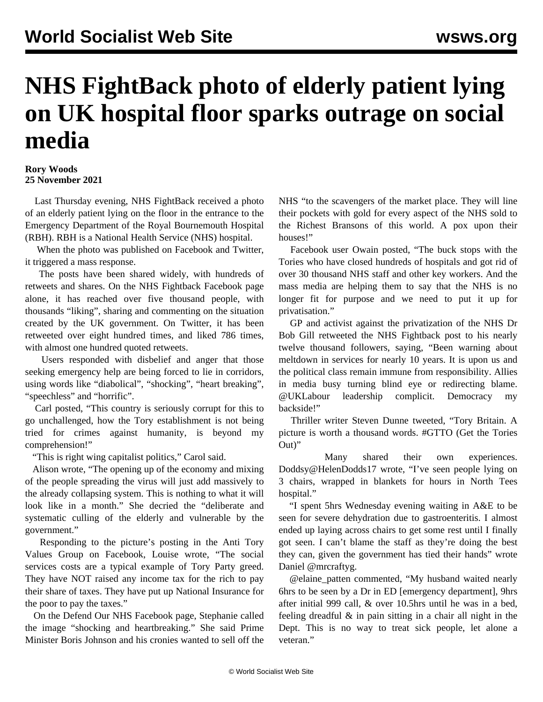## **NHS FightBack photo of elderly patient lying on UK hospital floor sparks outrage on social media**

## **Rory Woods 25 November 2021**

 Last Thursday evening, NHS FightBack received a photo of an elderly patient lying on the floor in the entrance to the Emergency Department of the Royal Bournemouth Hospital (RBH). RBH is a National Health Service (NHS) hospital.

 When the photo was published on [Facebook](https://www.facebook.com/Fight4theNHS) and [Twitter,](https://twitter.com/NHS_FightBack) it triggered a mass response.

 The posts have been shared widely, with hundreds of retweets and shares. On the NHS Fightback Facebook page alone, it has reached over five thousand people, with thousands "liking", sharing and commenting on the situation created by the UK government. On Twitter, it has been retweeted over eight hundred times, and liked 786 times, with almost one hundred quoted retweets.

 Users responded with disbelief and anger that those seeking emergency help are being forced to lie in corridors, using words like "diabolical", "shocking", "heart breaking", "speechless" and "horrific".

 Carl posted, "This country is seriously corrupt for this to go unchallenged, how the Tory establishment is not being tried for crimes against humanity, is beyond my comprehension!"

"This is right wing capitalist politics," Carol said.

 Alison wrote, "The opening up of the economy and mixing of the people spreading the virus will just add massively to the already collapsing system. This is nothing to what it will look like in a month." She decried the "deliberate and systematic culling of the elderly and vulnerable by the government."

 Responding to the picture's posting in the Anti Tory Values Group on Facebook, Louise wrote, "The social services costs are a typical example of Tory Party greed. They have NOT raised any income tax for the rich to pay their share of taxes. They have put up National Insurance for the poor to pay the taxes."

 On the Defend Our NHS Facebook page, Stephanie called the image "shocking and heartbreaking." She said Prime Minister Boris Johnson and his cronies wanted to sell off the NHS "to the scavengers of the market place. They will line their pockets with gold for every aspect of the NHS sold to the Richest Bransons of this world. A pox upon their houses!"

 Facebook user Owain posted, "The buck stops with the Tories who have closed hundreds of hospitals and got rid of over 30 thousand NHS staff and other key workers. And the mass media are helping them to say that the NHS is no longer fit for purpose and we need to put it up for privatisation."

 GP and activist against the privatization of the NHS Dr Bob Gill retweeted the NHS Fightback post to his nearly twelve thousand followers, saying, "Been warning about meltdown in services for nearly 10 years. It is upon us and the political class remain immune from responsibility. Allies in media busy turning blind eye or redirecting blame. @UKLabour leadership complicit. Democracy my backside!"

 Thriller writer Steven Dunne tweeted, "Tory Britain. A picture is worth a thousand words. #GTTO (Get the Tories Out)"

 Many shared their own experiences. Doddsy@HelenDodds17 wrote, "I've seen people lying on 3 chairs, wrapped in blankets for hours in North Tees hospital."

 "I spent 5hrs Wednesday evening waiting in A&E to be seen for severe dehydration due to gastroenteritis. I almost ended up laying across chairs to get some rest until I finally got seen. I can't blame the staff as they're doing the best they can, given the government has tied their hands" wrote Daniel @mrcraftyg.

 @elaine\_patten commented, "My husband waited nearly 6hrs to be seen by a Dr in ED [emergency department], 9hrs after initial 999 call, & over 10.5hrs until he was in a bed, feeling dreadful & in pain sitting in a chair all night in the Dept. This is no way to treat sick people, let alone a veteran<sup>"</sup>